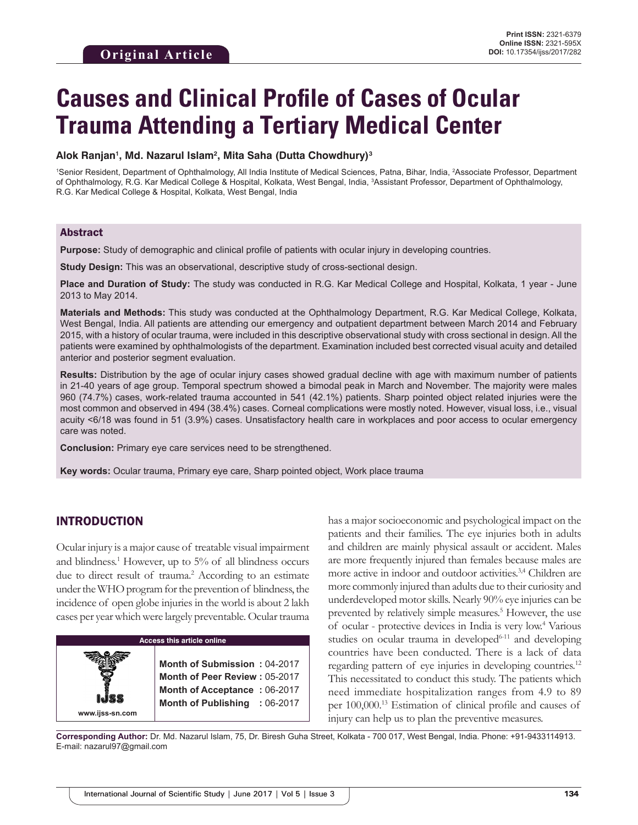# **Causes and Clinical Profile of Cases of Ocular Trauma Attending a Tertiary Medical Center**

## **Alok Ranjan1 , Md. Nazarul Islam2 , Mita Saha (Dutta Chowdhury)3**

<sup>1</sup>Senior Resident, Department of Ophthalmology, All India Institute of Medical Sciences, Patna, Bihar, India, <sup>2</sup>Associate Professor, Department of Ophthalmology, R.G. Kar Medical College & Hospital, Kolkata, West Bengal, India, 3 Assistant Professor, Department of Ophthalmology, R.G. Kar Medical College & Hospital, Kolkata, West Bengal, India

## Abstract

**Purpose:** Study of demographic and clinical profile of patients with ocular injury in developing countries.

**Study Design:** This was an observational, descriptive study of cross-sectional design.

**Place and Duration of Study:** The study was conducted in R.G. Kar Medical College and Hospital, Kolkata, 1 year - June 2013 to May 2014.

**Materials and Methods:** This study was conducted at the Ophthalmology Department, R.G. Kar Medical College, Kolkata, West Bengal, India. All patients are attending our emergency and outpatient department between March 2014 and February 2015, with a history of ocular trauma, were included in this descriptive observational study with cross sectional in design. All the patients were examined by ophthalmologists of the department. Examination included best corrected visual acuity and detailed anterior and posterior segment evaluation.

**Results:** Distribution by the age of ocular injury cases showed gradual decline with age with maximum number of patients in 21-40 years of age group. Temporal spectrum showed a bimodal peak in March and November. The majority were males 960 (74.7%) cases, work-related trauma accounted in 541 (42.1%) patients. Sharp pointed object related injuries were the most common and observed in 494 (38.4%) cases. Corneal complications were mostly noted. However, visual loss, i.e., visual acuity <6/18 was found in 51 (3.9%) cases. Unsatisfactory health care in workplaces and poor access to ocular emergency care was noted.

**Conclusion:** Primary eye care services need to be strengthened.

**Key words:** Ocular trauma, Primary eye care, Sharp pointed object, Work place trauma

# INTRODUCTION

**www.ijss-sn.com**

Ocular injury is a major cause of treatable visual impairment and blindness.<sup>1</sup> However, up to 5% of all blindness occurs due to direct result of trauma.<sup>2</sup> According to an estimate under the WHO program for the prevention of blindness, the incidence of open globe injuries in the world is about 2 lakh cases per year which were largely preventable. Ocular trauma

#### **Access this article online**

**Month of Submission :** 04-2017 **Month of Peer Review :** 05-2017 **Month of Acceptance :** 06-2017 **Month of Publishing :** 06-2017 has a major socioeconomic and psychological impact on the patients and their families. The eye injuries both in adults and children are mainly physical assault or accident. Males are more frequently injured than females because males are more active in indoor and outdoor activities.3,4 Children are more commonly injured than adults due to their curiosity and underdeveloped motor skills. Nearly 90% eye injuries can be prevented by relatively simple measures.<sup>5</sup> However, the use of ocular - protective devices in India is very low.4 Various studies on ocular trauma in developed $6-11$  and developing countries have been conducted. There is a lack of data regarding pattern of eye injuries in developing countries.<sup>12</sup> This necessitated to conduct this study. The patients which need immediate hospitalization ranges from 4.9 to 89 per 100,000.13 Estimation of clinical profile and causes of injury can help us to plan the preventive measures.

**Corresponding Author:** Dr. Md. Nazarul Islam, 75, Dr. Biresh Guha Street, Kolkata - 700 017, West Bengal, India. Phone: +91-9433114913. E-mail: nazarul97@gmail.com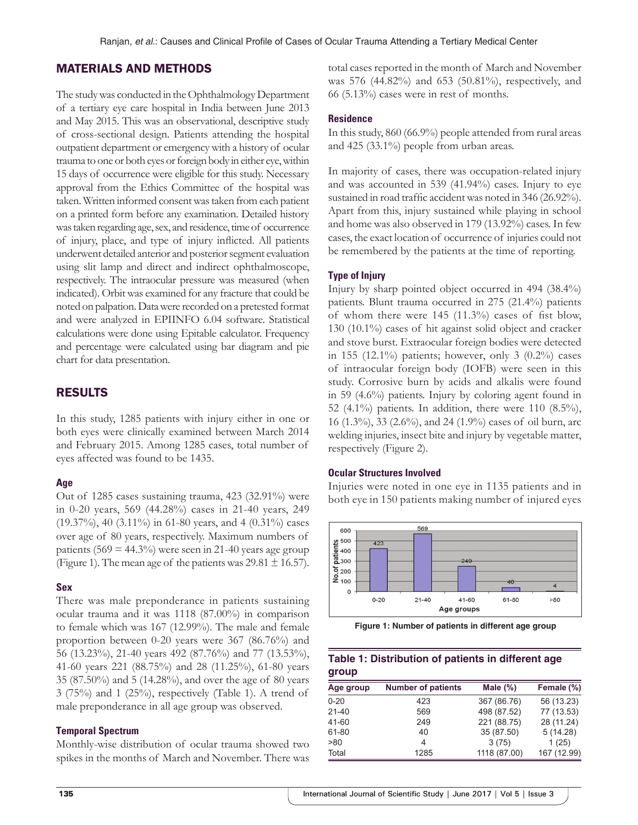## MATERIALS AND METHODS

The study was conducted in the Ophthalmology Department of a tertiary eye care hospital in India between June 2013 and May 2015. This was an observational, descriptive study of cross-sectional design. Patients attending the hospital outpatient department or emergency with a history of ocular trauma to one or both eyes or foreign body in either eye, within 15 days of occurrence were eligible for this study. Necessary approval from the Ethics Committee of the hospital was taken. Written informed consent was taken from each patient on a printed form before any examination. Detailed history was taken regarding age, sex, and residence, time of occurrence of injury, place, and type of injury inflicted. All patients underwent detailed anterior and posterior segment evaluation using slit lamp and direct and indirect ophthalmoscope, respectively. The intraocular pressure was measured (when indicated). Orbit was examined for any fracture that could be noted on palpation. Data were recorded on a pretested format and were analyzed in EPIINFO 6.04 software. Statistical calculations were done using Epitable calculator. Frequency and percentage were calculated using bar diagram and pie chart for data presentation.

## RESULTS

In this study, 1285 patients with injury either in one or both eyes were clinically examined between March 2014 and February 2015. Among 1285 cases, total number of eyes affected was found to be 1435.

#### **Age**

Out of 1285 cases sustaining trauma, 423 (32.91%) were in 0-20 years, 569 (44.28%) cases in 21-40 years, 249 (19.37%), 40 (3.11%) in 61-80 years, and 4 (0.31%) cases over age of 80 years, respectively. Maximum numbers of patients  $(569 = 44.3\%)$  were seen in 21-40 years age group (Figure 1). The mean age of the patients was  $29.81 \pm 16.57$ ).

#### **Sex**

There was male preponderance in patients sustaining ocular trauma and it was 1118 (87.00%) in comparison to female which was 167 (12.99%). The male and female proportion between 0-20 years were 367 (86.76%) and 56 (13.23%), 21-40 years 492 (87.76%) and 77 (13.53%), 41-60 years 221 (88.75%) and 28 (11.25%), 61-80 years 35 (87.50%) and 5 (14.28%), and over the age of 80 years 3 (75%) and 1 (25%), respectively (Table 1). A trend of male preponderance in all age group was observed.

#### **Temporal Spectrum**

Monthly-wise distribution of ocular trauma showed two spikes in the months of March and November. There was total cases reported in the month of March and November was 576 (44.82%) and 653 (50.81%), respectively, and  $66$  (5.13%) cases were in rest of months.

## **Residence**

In this study, 860 (66.9%) people attended from rural areas and 425 (33.1%) people from urban areas.

In majority of cases, there was occupation-related injury and was accounted in 539 (41.94%) cases. Injury to eye sustained in road traffic accident was noted in 346 (26.92%). Apart from this, injury sustained while playing in school and home was also observed in 179 (13.92%) cases. In few cases, the exact location of occurrence of injuries could not be remembered by the patients at the time of reporting.

## **Type of Injury**

Injury by sharp pointed object occurred in 494 (38.4%) patients. Blunt trauma occurred in 275 (21.4%) patients of whom there were 145 (11.3%) cases of fist blow, 130 (10.1%) cases of hit against solid object and cracker and stove burst. Extraocular foreign bodies were detected in 155 (12.1%) patients; however, only 3 (0.2%) cases of intraocular foreign body (IOFB) were seen in this study. Corrosive burn by acids and alkalis were found in 59 (4.6%) patients. Injury by coloring agent found in 52 (4.1%) patients. In addition, there were 110 (8.5%), 16 (1.3%), 33 (2.6%), and 24 (1.9%) cases of oil burn, arc welding injuries, insect bite and injury by vegetable matter, respectively (Figure 2).

#### **Ocular Structures Involved**

Injuries were noted in one eye in 1135 patients and in both eye in 150 patients making number of injured eyes



**Figure 1: Number of patients in different age group**

## **Table 1: Distribution of patients in different age group**

| Age group | <b>Number of patients</b> | Male $(\%)$  | Female (%)  |
|-----------|---------------------------|--------------|-------------|
| $0 - 20$  | 423                       | 367 (86.76)  | 56 (13.23)  |
| $21 - 40$ | 569                       | 498 (87.52)  | 77 (13.53)  |
| 41-60     | 249                       | 221 (88.75)  | 28 (11.24)  |
| 61-80     | 40                        | 35 (87.50)   | 5(14.28)    |
| >80       | 4                         | 3(75)        | 1(25)       |
| Total     | 1285                      | 1118 (87.00) | 167 (12.99) |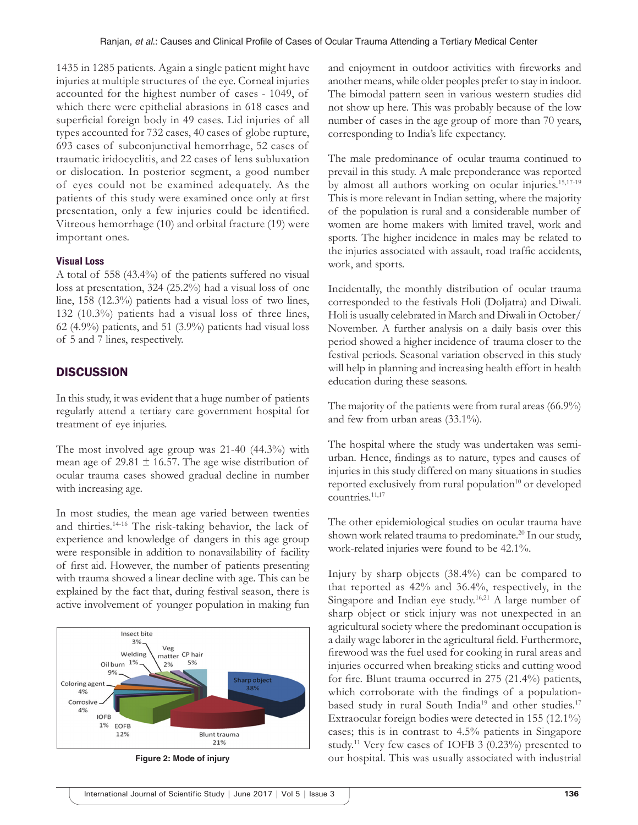1435 in 1285 patients. Again a single patient might have injuries at multiple structures of the eye. Corneal injuries accounted for the highest number of cases - 1049, of which there were epithelial abrasions in 618 cases and superficial foreign body in 49 cases. Lid injuries of all types accounted for 732 cases, 40 cases of globe rupture, 693 cases of subconjunctival hemorrhage, 52 cases of traumatic iridocyclitis, and 22 cases of lens subluxation or dislocation. In posterior segment, a good number of eyes could not be examined adequately. As the patients of this study were examined once only at first presentation, only a few injuries could be identified. Vitreous hemorrhage (10) and orbital fracture (19) were important ones.

## **Visual Loss**

A total of 558 (43.4%) of the patients suffered no visual loss at presentation, 324 (25.2%) had a visual loss of one line, 158 (12.3%) patients had a visual loss of two lines, 132 (10.3%) patients had a visual loss of three lines, 62 (4.9%) patients, and 51 (3.9%) patients had visual loss of 5 and 7 lines, respectively.

# **DISCUSSION**

In this study, it was evident that a huge number of patients regularly attend a tertiary care government hospital for treatment of eye injuries.

The most involved age group was 21-40 (44.3%) with mean age of 29.81  $\pm$  16.57. The age wise distribution of ocular trauma cases showed gradual decline in number with increasing age.

In most studies, the mean age varied between twenties and thirties.14-16 The risk-taking behavior, the lack of experience and knowledge of dangers in this age group were responsible in addition to nonavailability of facility of first aid. However, the number of patients presenting with trauma showed a linear decline with age. This can be explained by the fact that, during festival season, there is active involvement of younger population in making fun



and enjoyment in outdoor activities with fireworks and another means, while older peoples prefer to stay in indoor. The bimodal pattern seen in various western studies did not show up here. This was probably because of the low number of cases in the age group of more than 70 years, corresponding to India's life expectancy.

The male predominance of ocular trauma continued to prevail in this study. A male preponderance was reported by almost all authors working on ocular injuries.15,17-19 This is more relevant in Indian setting, where the majority of the population is rural and a considerable number of women are home makers with limited travel, work and sports. The higher incidence in males may be related to the injuries associated with assault, road traffic accidents, work, and sports.

Incidentally, the monthly distribution of ocular trauma corresponded to the festivals Holi (Doljatra) and Diwali. Holi is usually celebrated in March and Diwali in October/ November. A further analysis on a daily basis over this period showed a higher incidence of trauma closer to the festival periods. Seasonal variation observed in this study will help in planning and increasing health effort in health education during these seasons.

The majority of the patients were from rural areas (66.9%) and few from urban areas (33.1%).

The hospital where the study was undertaken was semiurban. Hence, findings as to nature, types and causes of injuries in this study differed on many situations in studies reported exclusively from rural population<sup>10</sup> or developed countries.<sup>11,17</sup>

The other epidemiological studies on ocular trauma have shown work related trauma to predominate.<sup>20</sup> In our study, work-related injuries were found to be 42.1%.

Injury by sharp objects (38.4%) can be compared to that reported as 42% and 36.4%, respectively, in the Singapore and Indian eye study.<sup>16,21</sup> A large number of sharp object or stick injury was not unexpected in an agricultural society where the predominant occupation is a daily wage laborer in the agricultural field. Furthermore, firewood was the fuel used for cooking in rural areas and injuries occurred when breaking sticks and cutting wood for fire. Blunt trauma occurred in 275 (21.4%) patients, which corroborate with the findings of a populationbased study in rural South India<sup>19</sup> and other studies.<sup>17</sup> Extraocular foreign bodies were detected in 155 (12.1%) cases; this is in contrast to 4.5% patients in Singapore study.11 Very few cases of IOFB 3 (0.23%) presented to **Figure 2: Mode of injury our hospital. This was usually associated with industrial**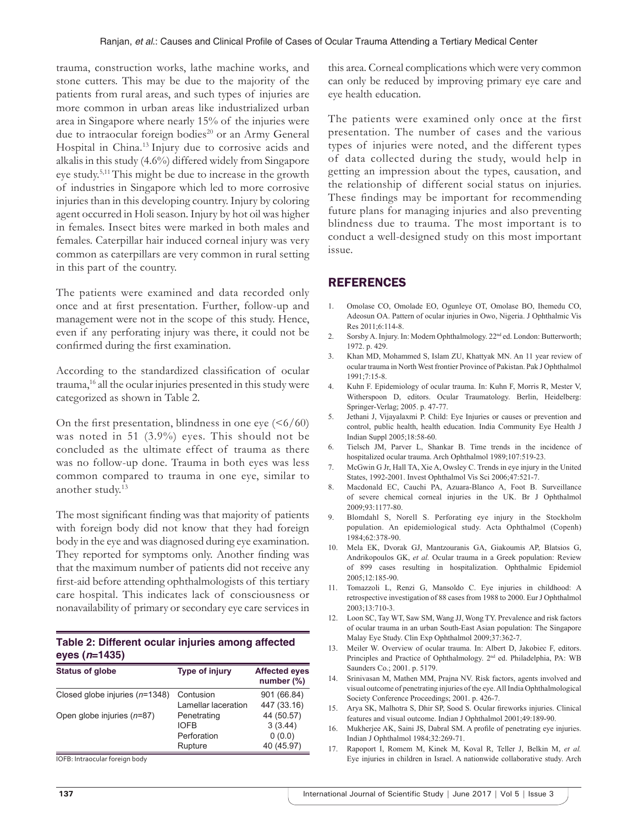trauma, construction works, lathe machine works, and stone cutters. This may be due to the majority of the patients from rural areas, and such types of injuries are more common in urban areas like industrialized urban area in Singapore where nearly 15% of the injuries were due to intraocular foreign bodies<sup>20</sup> or an Army General Hospital in China.13 Injury due to corrosive acids and alkalis in this study (4.6%) differed widely from Singapore eye study.5,11 This might be due to increase in the growth of industries in Singapore which led to more corrosive injuries than in this developing country. Injury by coloring agent occurred in Holi season. Injury by hot oil was higher in females. Insect bites were marked in both males and females. Caterpillar hair induced corneal injury was very common as caterpillars are very common in rural setting in this part of the country.

The patients were examined and data recorded only once and at first presentation. Further, follow-up and management were not in the scope of this study. Hence, even if any perforating injury was there, it could not be confirmed during the first examination.

According to the standardized classification of ocular trauma,16 all the ocular injuries presented in this study were categorized as shown in Table 2.

On the first presentation, blindness in one eye  $( $6/60$ )$ was noted in 51 (3.9%) eyes. This should not be concluded as the ultimate effect of trauma as there was no follow-up done. Trauma in both eyes was less common compared to trauma in one eye, similar to another study.13

The most significant finding was that majority of patients with foreign body did not know that they had foreign body in the eye and was diagnosed during eye examination. They reported for symptoms only. Another finding was that the maximum number of patients did not receive any first-aid before attending ophthalmologists of this tertiary care hospital. This indicates lack of consciousness or nonavailability of primary or secondary eye care services in

# **Table 2: Different ocular injuries among affected eyes (***n***=1435)**

| <b>Status of globe</b>           | <b>Type of injury</b> | <b>Affected eyes</b><br>number $(\%)$ |
|----------------------------------|-----------------------|---------------------------------------|
| Closed globe injuries $(n=1348)$ | Contusion             | 901 (66.84)                           |
|                                  | Lamellar laceration   | 447 (33.16)                           |
| Open globe injuries (n=87)       | Penetrating           | 44 (50.57)                            |
|                                  | <b>IOFB</b>           | 3(3.44)                               |
|                                  | Perforation           | 0(0.0)                                |
|                                  | Rupture               | 40 (45.97)                            |

IOFB: Intraocular foreign body

this area. Corneal complications which were very common can only be reduced by improving primary eye care and eye health education.

The patients were examined only once at the first presentation. The number of cases and the various types of injuries were noted, and the different types of data collected during the study, would help in getting an impression about the types, causation, and the relationship of different social status on injuries. These findings may be important for recommending future plans for managing injuries and also preventing blindness due to trauma. The most important is to conduct a well-designed study on this most important issue.

## REFERENCES

- 1. Omolase CO, Omolade EO, Ogunleye OT, Omolase BO, Ihemedu CO, Adeosun OA. Pattern of ocular injuries in Owo, Nigeria. J Ophthalmic Vis Res 2011;6:114-8.
- 2. Sorsby A. Injury. In: Modern Ophthalmology. 22<sup>nd</sup> ed. London: Butterworth; 1972. p. 429.
- 3. Khan MD, Mohammed S, Islam ZU, Khattyak MN. An 11 year review of ocular trauma in North West frontier Province of Pakistan. Pak J Ophthalmol 1991;7:15-8.
- 4. Kuhn F. Epidemiology of ocular trauma. In: Kuhn F, Morris R, Mester V, Witherspoon D, editors. Ocular Traumatology. Berlin, Heidelberg: Springer-Verlag; 2005. p. 47-77.
- 5. Jethani J, Vijayalaxmi P. Child: Eye Injuries or causes or prevention and control, public health, health education. India Community Eye Health J Indian Suppl 2005;18:58-60.
- 6. Tielsch JM, Parver L, Shankar B. Time trends in the incidence of hospitalized ocular trauma. Arch Ophthalmol 1989;107:519-23.
- 7. McGwin G Jr, Hall TA, Xie A, Owsley C. Trends in eye injury in the United States, 1992-2001. Invest Ophthalmol Vis Sci 2006;47:521-7.
- 8. Macdonald EC, Cauchi PA, Azuara-Blanco A, Foot B. Surveillance of severe chemical corneal injuries in the UK. Br J Ophthalmol 2009;93:1177-80.
- 9. Blomdahl S, Norell S. Perforating eye injury in the Stockholm population. An epidemiological study. Acta Ophthalmol (Copenh) 1984;62:378-90.
- 10. Mela EK, Dvorak GJ, Mantzouranis GA, Giakoumis AP, Blatsios G, Andrikopoulos GK, *et al.* Ocular trauma in a Greek population: Review of 899 cases resulting in hospitalization. Ophthalmic Epidemiol 2005;12:185-90.
- 11. Tomazzoli L, Renzi G, Mansoldo C. Eye injuries in childhood: A retrospective investigation of 88 cases from 1988 to 2000. Eur J Ophthalmol 2003;13:710-3.
- 12. Loon SC, Tay WT, Saw SM, Wang JJ, Wong TY. Prevalence and risk factors of ocular trauma in an urban South-East Asian population: The Singapore Malay Eye Study. Clin Exp Ophthalmol 2009;37:362-7.
- 13. Meiler W. Overview of ocular trauma. In: Albert D, Jakobiec F, editors. Principles and Practice of Ophthalmology. 2nd ed. Philadelphia, PA: WB Saunders Co.; 2001. p. 5179.
- 14. Srinivasan M, Mathen MM, Prajna NV. Risk factors, agents involved and visual outcome of penetrating injuries of the eye. All India Ophthalmological Society Conference Proceedings; 2001. p. 426-7.
- 15. Arya SK, Malhotra S, Dhir SP, Sood S. Ocular fireworks injuries. Clinical features and visual outcome. Indian J Ophthalmol 2001;49:189-90.
- 16. Mukherjee AK, Saini JS, Dabral SM. A profile of penetrating eye injuries. Indian J Ophthalmol 1984;32:269-71.
- 17. Rapoport I, Romem M, Kinek M, Koval R, Teller J, Belkin M, *et al.* Eye injuries in children in Israel. A nationwide collaborative study. Arch